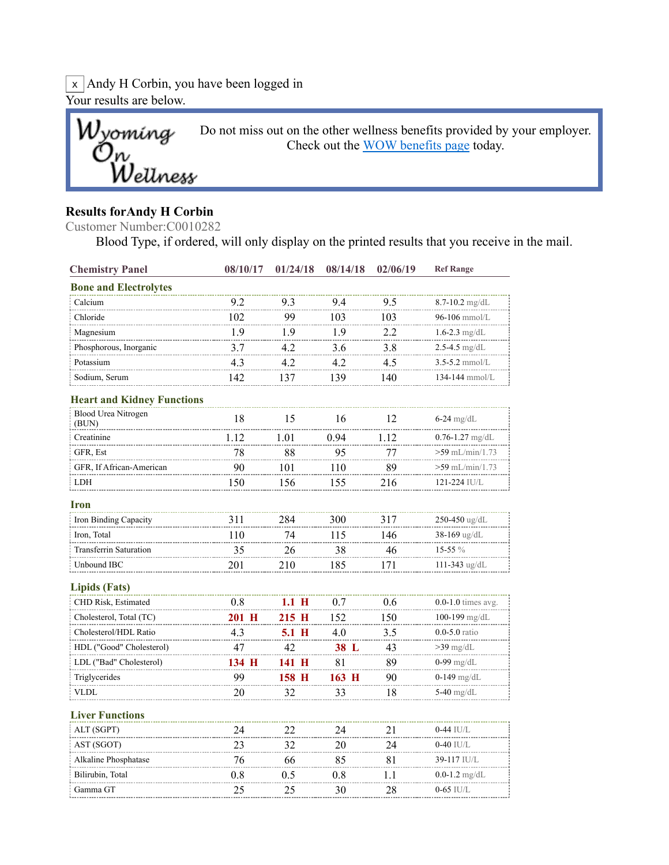$\overline{x}$  Andy H Corbin, you have been logged in Your results are below.



## Results forAndy H Corbin

Customer Number:C0010282

Blood Type, if ordered, will only display on the printed results that you receive in the mail.

| <b>Chemistry Panel</b>              | 08/10/17 | 01/24/18 | 08/14/18 | 02/06/19 | <b>Ref Range</b>       |
|-------------------------------------|----------|----------|----------|----------|------------------------|
| <b>Bone and Electrolytes</b>        |          |          |          |          |                        |
| Calcium                             | 9.2      | 9.3      | 9.4      | 9.5      | $8.7 - 10.2$ mg/dL     |
| Chloride                            | 102      | 99       | 103      | 103      | 96-106 mmol/L          |
| Magnesium                           | 1.9      | 1.9      | 1.9      | 2.2      | 1.6-2.3 mg/dL          |
| Phosphorous, Inorganic              | 3.7      | 4.2      | 3.6      | 3.8      | $2.5 - 4.5$ mg/dL      |
| Potassium                           | 4.3      | 4.2      | 4.2      | 4.5      | $3.5 - 5.2$ mmol/L     |
| Sodium, Serum                       | 142      | 137      | 139      | 140      | 134-144 mmol/L         |
| <b>Heart and Kidney Functions</b>   |          |          |          |          |                        |
| <b>Blood Urea Nitrogen</b><br>(BUN) | 18       | 15       | 16       | 12       | 6-24 mg/dL             |
| Creatinine                          | 1.12     | 1.01     | 0.94     | 1.12     | $0.76 - 1.27$ mg/dL    |
| GFR, Est                            | 78       | 88       | 95       | 77       | >59 mL/min/1.73        |
| GFR, If African-American            | 90       | 101      | 110      | 89       | >59 mL/min/1.73        |
| LDH                                 | 150      | 156      | 155      | 216      | 121-224 IU/L           |
| Iron                                |          |          |          |          |                        |
| Iron Binding Capacity               | 311      | 284      | 300      | 317      | 250-450 ug/dL          |
| Iron, Total                         | 110      | 74       | 115      | 146      | 38-169 ug/dL           |
| <b>Transferrin Saturation</b>       | 35       | 26       | 38       | 46       | $15-55%$               |
| Unbound IBC                         | 201      | 210      | 185      | 171      | 111-343 ug/dL          |
| <b>Lipids</b> (Fats)                |          |          |          |          |                        |
| CHD Risk, Estimated                 | 0.8      | 1.1 H    | 0.7      | 0.6      | $0.0-1.0$ times avg.   |
| Cholesterol, Total (TC)             | 201 H    | 215 H    | 152      | 150      | 100-199 $mg/dL$        |
| Cholesterol/HDL Ratio               | 4.3      | 5.1 H    | 4.0      | 3.5      | $0.0 - 5.0$ ratio      |
| HDL ("Good" Cholesterol)            | 47       | 42       | 38 L     | 43       | $>39$ mg/dL            |
| LDL ("Bad" Cholesterol)             | 134 H    | 141 H    | 81       | 89       | $0-99 \mathrm{~mg/dL}$ |
| Triglycerides                       | 99       | 158 H    | 163 H    | 90       | <b>0-149</b> mg/dL     |
| <b>VLDL</b>                         | 20       | 32       | 33       | 18       | 5-40 $mg/dL$           |
| <b>Liver Functions</b>              |          |          |          |          |                        |
| ALT (SGPT)                          | 24       | 22       | 24       | 21       | $0-44$ IU/L            |
| AST (SGOT)                          | 23       | 32       | 20       | 24       | $0-40$ IU/L            |
| Alkaline Phosphatase                | 76       | 66       | 85       | 81       | 39-117 IU/L            |
| Bilirubin, Total                    | $0.8\,$  | 0.5      | $0.8\,$  | 1.1      | $0.0$ -1.2 mg/dL       |
| Gamma GT                            | 25       | 25       | 30       | 28       | 0-65 IU/L              |